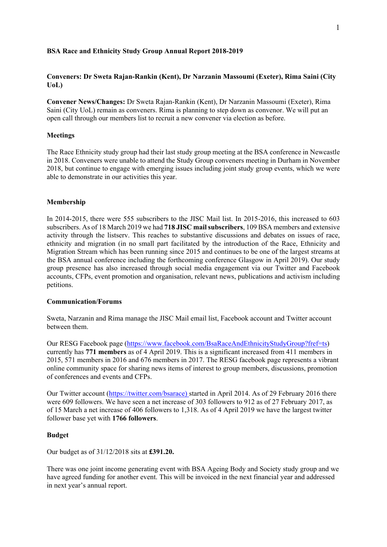### **BSA Race and Ethnicity Study Group Annual Report 2018-2019**

## **Conveners: Dr Sweta Rajan-Rankin (Kent), Dr Narzanin Massoumi (Exeter), Rima Saini (City UoL)**

**Convener News/Changes:** Dr Sweta Rajan-Rankin (Kent), Dr Narzanin Massoumi (Exeter), Rima Saini (City UoL) remain as conveners. Rima is planning to step down as convenor. We will put an open call through our members list to recruit a new convener via election as before.

### **Meetings**

The Race Ethnicity study group had their last study group meeting at the BSA conference in Newcastle in 2018. Conveners were unable to attend the Study Group conveners meeting in Durham in November 2018, but continue to engage with emerging issues including joint study group events, which we were able to demonstrate in our activities this year.

#### **Membership**

In 2014-2015, there were 555 subscribers to the JISC Mail list. In 2015-2016, this increased to 603 subscribers. As of 18 March 2019 we had **718 JISC mail subscribers**, 109 BSA members and extensive activity through the listserv. This reaches to substantive discussions and debates on issues of race, ethnicity and migration (in no small part facilitated by the introduction of the Race, Ethnicity and Migration Stream which has been running since 2015 and continues to be one of the largest streams at the BSA annual conference including the forthcoming conference Glasgow in April 2019). Our study group presence has also increased through social media engagement via our Twitter and Facebook accounts, CFPs, event promotion and organisation, relevant news, publications and activism including petitions.

## **Communication/Forums**

Sweta, Narzanin and Rima manage the JISC Mail email list, Facebook account and Twitter account between them.

Our RESG Facebook page (https://www.facebook.com/BsaRaceAndEthnicityStudyGroup?fref=ts) currently has **771 members** as of 4 April 2019. This is a significant increased from 411 members in 2015, 571 members in 2016 and 676 members in 2017. The RESG facebook page represents a vibrant online community space for sharing news items of interest to group members, discussions, promotion of conferences and events and CFPs.

Our Twitter account (https://twitter.com/bsarace) started in April 2014. As of 29 February 2016 there were 609 followers. We have seen a net increase of 303 followers to 912 as of 27 February 2017, as of 15 March a net increase of 406 followers to 1,318. As of 4 April 2019 we have the largest twitter follower base yet with **1766 followers**.

#### **Budget**

Our budget as of 31/12/2018 sits at **£391.20.**

There was one joint income generating event with BSA Ageing Body and Society study group and we have agreed funding for another event. This will be invoiced in the next financial year and addressed in next year's annual report.